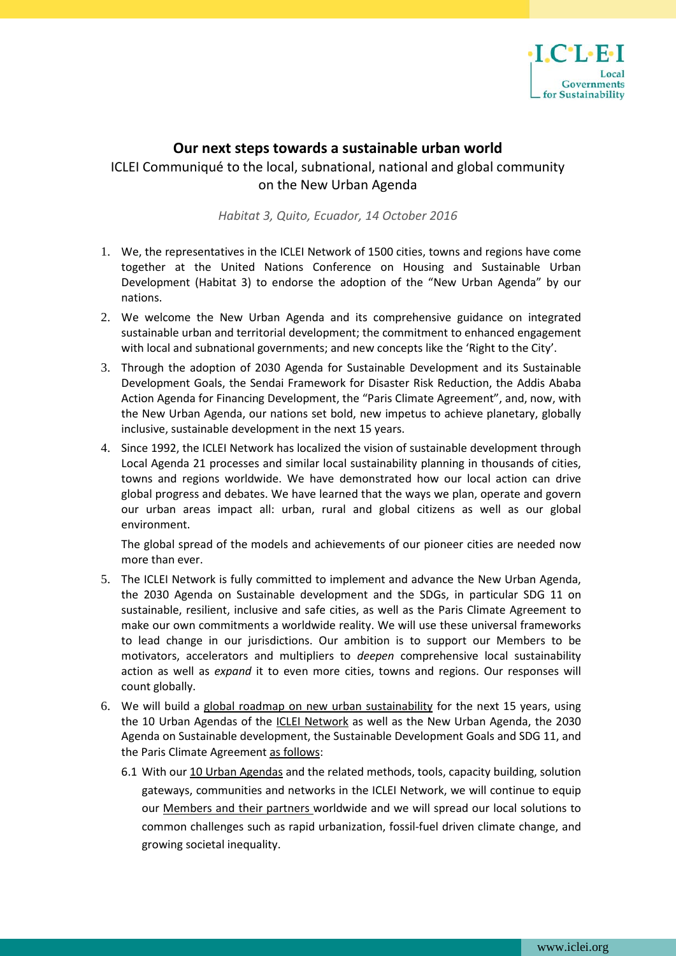

## **Our next steps towards a sustainable urban world**

## ICLEI Communiqué to the local, subnational, national and global community on the New Urban Agenda

*Habitat 3, Quito, Ecuador, 14 October 2016*

- 1. We, the representatives in the ICLEI Network of 1500 cities, towns and regions have come together at the United Nations Conference on Housing and Sustainable Urban Development (Habitat 3) to endorse the adoption of the "New Urban Agenda" by our nations.
- 2. We welcome the New Urban Agenda and its comprehensive guidance on integrated sustainable urban and territorial development; the commitment to enhanced engagement with local and subnational governments; and new concepts like the 'Right to the City'.
- 3. Through the adoption of 2030 Agenda for Sustainable Development and its Sustainable Development Goals, the Sendai Framework for Disaster Risk Reduction, the Addis Ababa Action Agenda for Financing Development, the "Paris Climate Agreement", and, now, with the New Urban Agenda, our nations set bold, new impetus to achieve planetary, globally inclusive, sustainable development in the next 15 years.
- 4. Since 1992, the ICLEI Network has localized the vision of sustainable development through Local Agenda 21 processes and similar local sustainability planning in thousands of cities, towns and regions worldwide. We have demonstrated how our local action can drive global progress and debates. We have learned that the ways we plan, operate and govern our urban areas impact all: urban, rural and global citizens as well as our global environment.

The global spread of the models and achievements of our pioneer cities are needed now more than ever.

- 5. The ICLEI Network is fully committed to implement and advance the New Urban Agenda, the 2030 Agenda on Sustainable development and the SDGs, in particular SDG 11 on sustainable, resilient, inclusive and safe cities, as well as the Paris Climate Agreement to make our own commitments a worldwide reality. We will use these universal frameworks to lead change in our jurisdictions. Our ambition is to support our Members to be motivators, accelerators and multipliers to *deepen* comprehensive local sustainability action as well as *expand* it to even more cities, towns and regions. Our responses will count globally.
- 6. We will build a global roadmap on new urban sustainability for the next 15 years, using the 10 Urban Agendas of the ICLEI Network as well as the New Urban Agenda, the 2030 Agenda on Sustainable development, the Sustainable Development Goals and SDG 11, and the Paris Climate Agreement as follows:
	- 6.1 With our 10 Urban Agendas and the related methods, tools, capacity building, solution gateways, communities and networks in the ICLEI Network, we will continue to equip our Members and their partners worldwide and we will spread our local solutions to common challenges such as rapid urbanization, fossil-fuel driven climate change, and growing societal inequality.